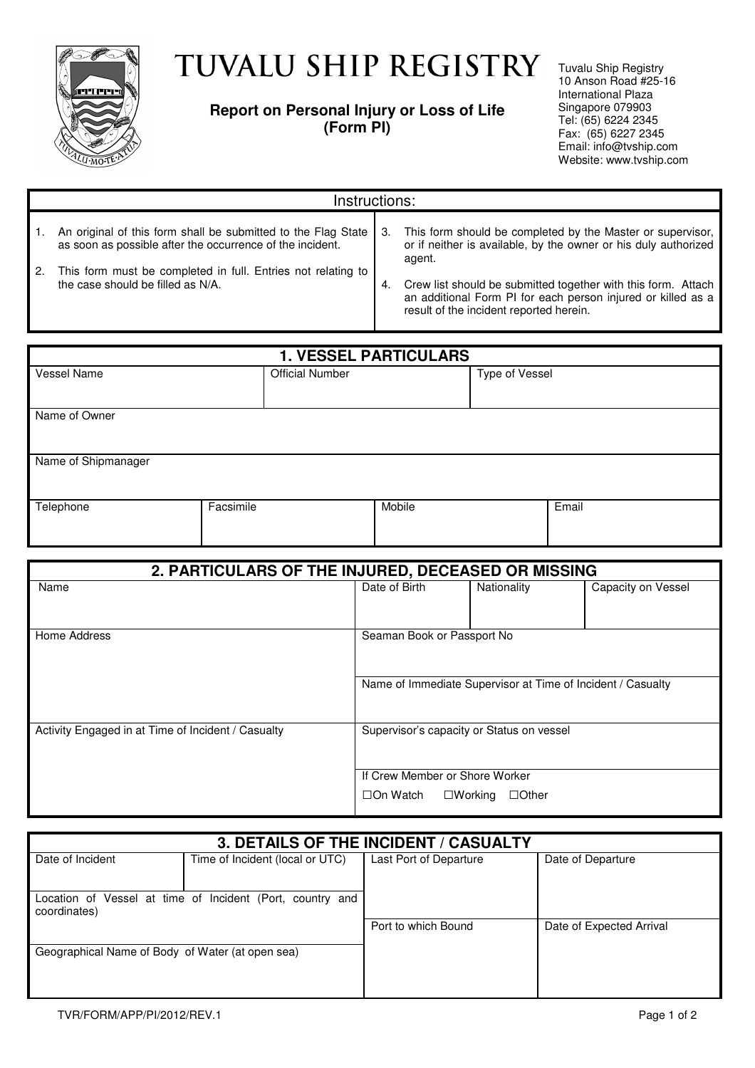

## TUVALU SHIP REGISTRY

## **Report on Personal Injury or Loss of Life (Form PI)**

Tuvalu Ship Registry 10 Anson Road #25-16 International Plaza Singapore 079903 Tel: (65) 6224 2345 Fax: (65) 6227 2345 Email: info@tvship.com Website: www.tvship.com

| Instructions:                                                                                                              |     |                                                                                                                                                                          |  |  |
|----------------------------------------------------------------------------------------------------------------------------|-----|--------------------------------------------------------------------------------------------------------------------------------------------------------------------------|--|--|
| An original of this form shall be submitted to the Flag State<br>as soon as possible after the occurrence of the incident. | -3. | This form should be completed by the Master or supervisor,<br>or if neither is available, by the owner or his duly authorized<br>agent.                                  |  |  |
| This form must be completed in full. Entries not relating to<br>the case should be filled as N/A.                          | 4.  | Crew list should be submitted together with this form. Attach<br>an additional Form PI for each person injured or killed as a<br>result of the incident reported herein. |  |  |

| <b>1. VESSEL PARTICULARS</b> |           |                        |        |                |       |  |
|------------------------------|-----------|------------------------|--------|----------------|-------|--|
| Vessel Name                  |           | <b>Official Number</b> |        | Type of Vessel |       |  |
|                              |           |                        |        |                |       |  |
| Name of Owner                |           |                        |        |                |       |  |
|                              |           |                        |        |                |       |  |
| Name of Shipmanager          |           |                        |        |                |       |  |
|                              |           |                        |        |                |       |  |
| Telephone                    | Facsimile |                        | Mobile |                | Email |  |
|                              |           |                        |        |                |       |  |

| 2. PARTICULARS OF THE INJURED, DECEASED OR MISSING |                                           |                                                             |                    |  |
|----------------------------------------------------|-------------------------------------------|-------------------------------------------------------------|--------------------|--|
| Name                                               | Date of Birth                             | Nationality                                                 | Capacity on Vessel |  |
| Home Address<br>Seaman Book or Passport No         |                                           |                                                             |                    |  |
|                                                    |                                           | Name of Immediate Supervisor at Time of Incident / Casualty |                    |  |
| Activity Engaged in at Time of Incident / Casualty | Supervisor's capacity or Status on vessel |                                                             |                    |  |
|                                                    | If Crew Member or Shore Worker            |                                                             |                    |  |
|                                                    | □On Watch                                 | $\square$ Working<br>$\Box$ Other                           |                    |  |

| 3. DETAILS OF THE INCIDENT / CASUALTY               |                                                           |                        |                          |  |
|-----------------------------------------------------|-----------------------------------------------------------|------------------------|--------------------------|--|
| Date of Incident<br>Time of Incident (local or UTC) |                                                           | Last Port of Departure | Date of Departure        |  |
| coordinates)                                        | Location of Vessel at time of Incident (Port, country and |                        |                          |  |
|                                                     |                                                           | Port to which Bound    | Date of Expected Arrival |  |
| Geographical Name of Body of Water (at open sea)    |                                                           |                        |                          |  |